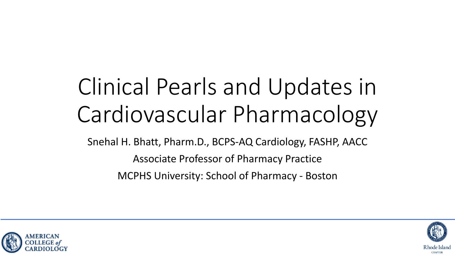# Clinical Pearls and Updates in Cardiovascular Pharmacology

Snehal H. Bhatt, Pharm.D., BCPS-AQ Cardiology, FASHP, AACC Associate Professor of Pharmacy Practice MCPHS University: School of Pharmacy - Boston



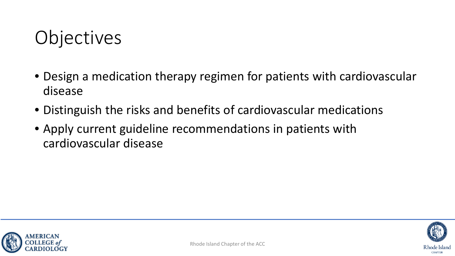# **Objectives**

- Design a medication therapy regimen for patients with cardiovascular disease
- Distinguish the risks and benefits of cardiovascular medications
- Apply current guideline recommendations in patients with cardiovascular disease



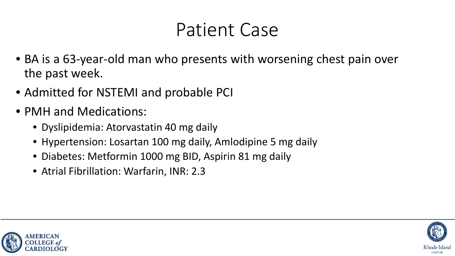### Patient Case

- BA is a 63-year-old man who presents with worsening chest pain over the past week.
- Admitted for NSTEMI and probable PCI
- PMH and Medications:
	- Dyslipidemia: Atorvastatin 40 mg daily
	- Hypertension: Losartan 100 mg daily, Amlodipine 5 mg daily
	- Diabetes: Metformin 1000 mg BID, Aspirin 81 mg daily
	- Atrial Fibrillation: Warfarin, INR: 2.3



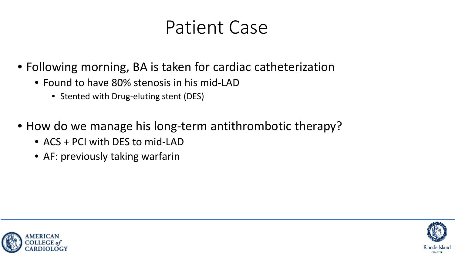### Patient Case

- Following morning, BA is taken for cardiac catheterization
	- Found to have 80% stenosis in his mid-LAD
		- Stented with Drug-eluting stent (DES)
- How do we manage his long-term antithrombotic therapy?
	- ACS + PCI with DES to mid-LAD
	- AF: previously taking warfarin



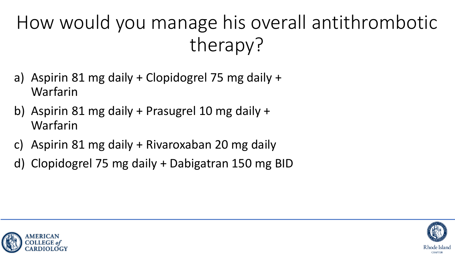# How would you manage his overall antithrombotic therapy?

- a) Aspirin 81 mg daily + Clopidogrel 75 mg daily + Warfarin
- b) Aspirin 81 mg daily + Prasugrel 10 mg daily + Warfarin
- c) Aspirin 81 mg daily + Rivaroxaban 20 mg daily
- d) Clopidogrel 75 mg daily + Dabigatran 150 mg BID



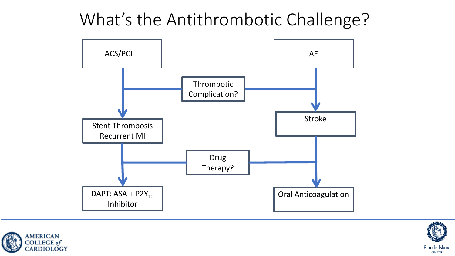What's the Antithrombotic Challenge?





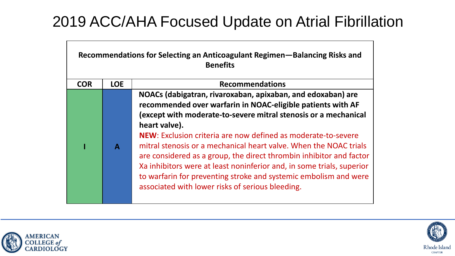#### 2019 ACC/AHA Focused Update on Atrial Fibrillation

| Recommendations for Selecting an Anticoagulant Regimen-Balancing Risks and<br><b>Benefits</b> |              |                                                                                                                                                                                                                                                                                                                                                                                                                                                                                                                                                                                                                              |  |
|-----------------------------------------------------------------------------------------------|--------------|------------------------------------------------------------------------------------------------------------------------------------------------------------------------------------------------------------------------------------------------------------------------------------------------------------------------------------------------------------------------------------------------------------------------------------------------------------------------------------------------------------------------------------------------------------------------------------------------------------------------------|--|
| <b>COR</b>                                                                                    | <b>LOE</b>   | <b>Recommendations</b>                                                                                                                                                                                                                                                                                                                                                                                                                                                                                                                                                                                                       |  |
|                                                                                               | $\mathbf{A}$ | NOACs (dabigatran, rivaroxaban, apixaban, and edoxaban) are<br>recommended over warfarin in NOAC-eligible patients with AF<br>(except with moderate-to-severe mitral stenosis or a mechanical<br>heart valve).<br>NEW: Exclusion criteria are now defined as moderate-to-severe<br>mitral stenosis or a mechanical heart valve. When the NOAC trials<br>are considered as a group, the direct thrombin inhibitor and factor<br>Xa inhibitors were at least noninferior and, in some trials, superior<br>to warfarin for preventing stroke and systemic embolism and were<br>associated with lower risks of serious bleeding. |  |



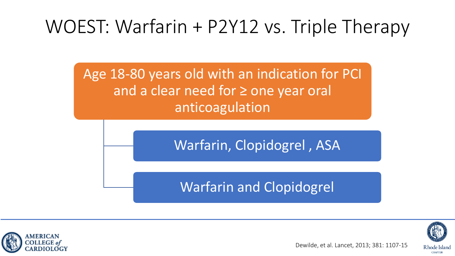# WOEST: Warfarin + P2Y12 vs. Triple Therapy

Age 18-80 years old with an indication for PCI and a clear need for ≥ one year oral anticoagulation

Warfarin, Clopidogrel , ASA

#### Warfarin and Clopidogrel



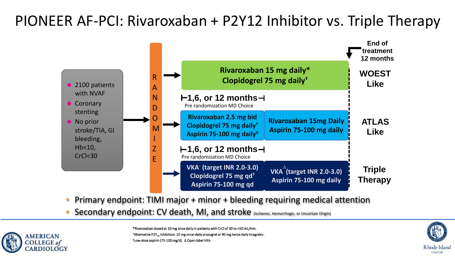#### PIONEER AF-PCI: Rivaroxaban + P2Y12 Inhibitor vs. Triple Therapy



- Primary endpoint: TIMI major + minor + bleeding requiring medical attention
- Secondary endpoint: CV death, MI, and stroke (Ischemic, Hemorrhagic, or Uncertain Origin)



\*Rivaroxaban dosed at 10 mg once daily in patients with CrCl of 30 to <50 mL/min. <sup>†</sup>Alternative P2Y<sub>12</sub> inhibitors: 10 mg once-daily prasugrel or 90 mg twice-daily ticagrelor. ‡Low-dose aspirin (75-100 mg/d). ∆ Open label VKA

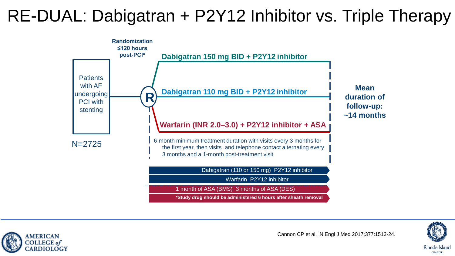#### RE-DUAL: Dabigatran + P2Y12 Inhibitor vs. Triple Therapy







**CHAPTER**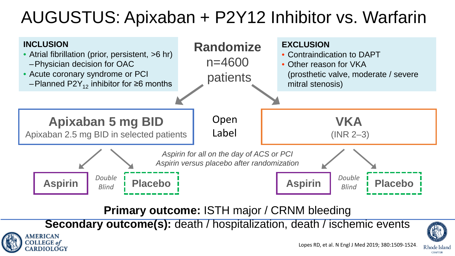### AUGUSTUS: Apixaban + P2Y12 Inhibitor vs. Warfarin



**Primary outcome:** ISTH major / CRNM bleeding

**Secondary outcome(s):** death / hospitalization, death / ischemic events

*MERICAN* **COLLEGE** of

**EARDIOLOGY** 





Rhode Island **CHAPTER**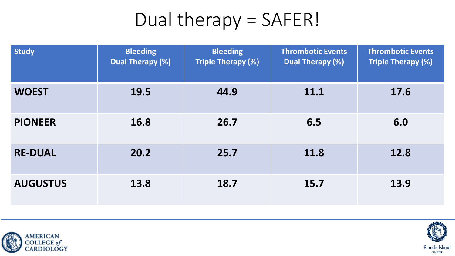# Dual therapy = SAFER!

| <b>Study</b>    | <b>Bleeding</b><br><b>Dual Therapy (%)</b> | <b>Bleeding</b><br><b>Triple Therapy (%)</b> | <b>Thrombotic Events</b><br><b>Dual Therapy (%)</b> | <b>Thrombotic Events</b><br><b>Triple Therapy (%)</b> |
|-----------------|--------------------------------------------|----------------------------------------------|-----------------------------------------------------|-------------------------------------------------------|
| <b>WOEST</b>    | 19.5                                       | 44.9                                         | 11.1                                                | 17.6                                                  |
| <b>PIONEER</b>  | 16.8                                       | 26.7                                         | 6.5                                                 | 6.0                                                   |
| <b>RE-DUAL</b>  | 20.2                                       | 25.7                                         | 11.8                                                | 12.8                                                  |
| <b>AUGUSTUS</b> | 13.8                                       | 18.7                                         | 15.7                                                | 13.9                                                  |



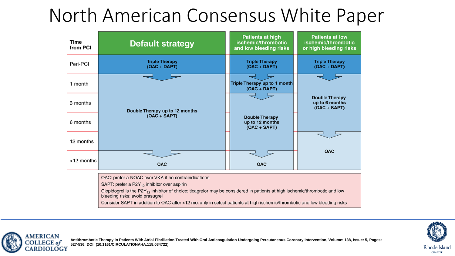### North American Consensus White Paper

| Time<br>from PCI | <b>Default strategy</b>                                                                                                                                                                                                                                  | <b>Patients at high</b><br>ischemic/thrombotic<br>and low bleeding risks | <b>Patients at low</b><br>ischemic/thrombotic<br>or high bleeding risks |
|------------------|----------------------------------------------------------------------------------------------------------------------------------------------------------------------------------------------------------------------------------------------------------|--------------------------------------------------------------------------|-------------------------------------------------------------------------|
| Peri-PCI         | <b>Triple Therapy</b><br>$(OAC + DAPT)$                                                                                                                                                                                                                  | <b>Triple Therapy</b><br>$(OAC + DAPT)$                                  | <b>Triple Therapy</b><br>$(OAC + DAPT)$                                 |
| 1 month          |                                                                                                                                                                                                                                                          | Triple Therapy up to 1 month<br>$(OAC + DAPT)$                           |                                                                         |
| 3 months         | Double Therapy up to 12 months                                                                                                                                                                                                                           |                                                                          | <b>Double Therapy</b><br>up to 6 months<br>$(OAC + SAPT)$               |
| 6 months         | $(OAC + SAPT)$                                                                                                                                                                                                                                           | <b>Double Therapy</b><br>up to 12 months<br>$(OAC + SAPT)$               |                                                                         |
| 12 months        |                                                                                                                                                                                                                                                          |                                                                          |                                                                         |
| >12 months       | <b>OAC</b>                                                                                                                                                                                                                                               | <b>OAC</b>                                                               | <b>OAC</b>                                                              |
|                  | OAC: prefer a NOAC over VKA if no contraindications<br>SAPT: prefer a P2Y <sub>12</sub> inhibitor over aspirin<br>Clopidogrel is the P2Y <sub>12</sub> inhibitor of choice; ticagrelor may be considered in patients at high ischemic/thrombotic and low |                                                                          |                                                                         |



Consider SAPT in addition to OAC after >12 mo. only in select patients at high ischemic/thrombotic and low bleeding risks



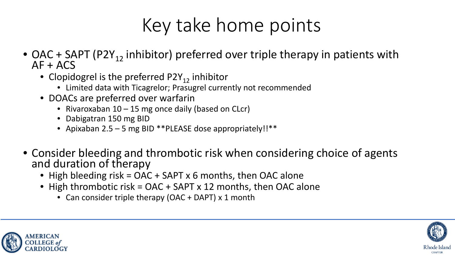# Key take home points

- OAC + SAPT (P2Y<sub>12</sub> inhibitor) preferred over triple therapy in patients with  $AF + ACS$ 
	- Clopidogrel is the preferred  $P2Y_{12}$  inhibitor
		- Limited data with Ticagrelor; Prasugrel currently not recommended
	- DOACs are preferred over warfarin
		- Rivaroxaban 10 15 mg once daily (based on CLcr)
		- Dabigatran 150 mg BID
		- Apixaban 2.5 5 mg BID \*\* PLEASE dose appropriately!!\*\*
- Consider bleeding and thrombotic risk when considering choice of agents and duration of therapy
	- High bleeding risk = OAC + SAPT x 6 months, then OAC alone
	- High thrombotic risk = OAC + SAPT x 12 months, then OAC alone
		- Can consider triple therapy (OAC + DAPT) x 1 month



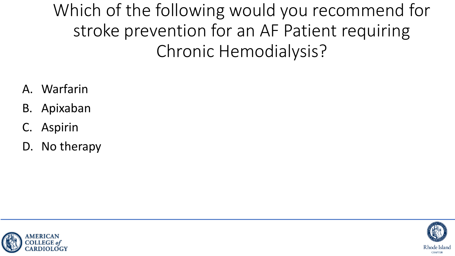Which of the following would you recommend for stroke prevention for an AF Patient requiring Chronic Hemodialysis?

- A. Warfarin
- B. Apixaban
- **Aspirin**
- D. No therapy



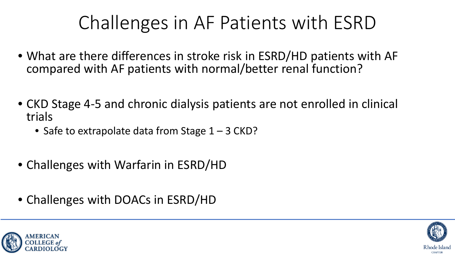# Challenges in AF Patients with ESRD

- What are there differences in stroke risk in ESRD/HD patients with AF compared with AF patients with normal/better renal function?
- CKD Stage 4-5 and chronic dialysis patients are not enrolled in clinical trials
	- Safe to extrapolate data from Stage  $1 3$  CKD?
- Challenges with Warfarin in ESRD/HD
- Challenges with DOACs in ESRD/HD



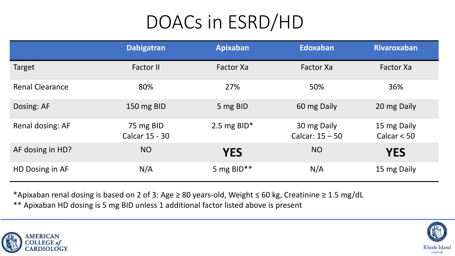# DOACs in ESRD/HD

|                        | <b>Dabigatran</b>           | Apixaban       | <b>Edoxaban</b>                  | <b>Rivaroxaban</b>           |
|------------------------|-----------------------------|----------------|----------------------------------|------------------------------|
| Target                 | <b>Factor II</b>            | Factor Xa      | Factor Xa                        | Factor Xa                    |
| <b>Renal Clearance</b> | 80%                         | 27%            | 50%                              | 36%                          |
| Dosing: AF             | 150 mg BID                  | 5 mg BID       | 60 mg Daily                      | 20 mg Daily                  |
| Renal dosing: AF       | 75 mg BID<br>Calcar 15 - 30 | 2.5 mg BID $*$ | 30 mg Daily<br>Calcar: $15 - 50$ | 15 mg Daily<br>Calcar $< 50$ |
| AF dosing in HD?       | <b>NO</b>                   | <b>YES</b>     | <b>NO</b>                        | <b>YES</b>                   |
| HD Dosing in AF        | N/A                         | 5 mg BID**     | N/A                              | 15 mg Daily                  |

\*Apixaban renal dosing is based on 2 of 3: Age ≥ 80 years-old, Weight ≤ 60 kg, Creatinine ≥ 1.5 mg/dL

\*\* Apixaban HD dosing is 5 mg BID unless 1 additional factor listed above is present



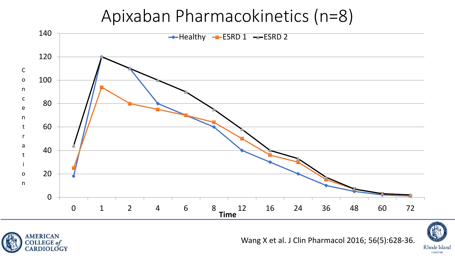#### Apixaban Pharmacokinetics (n=8)





Wang X et al. J Clin Pharmacol 2016; 56(5):628-36.



**CHAPTER**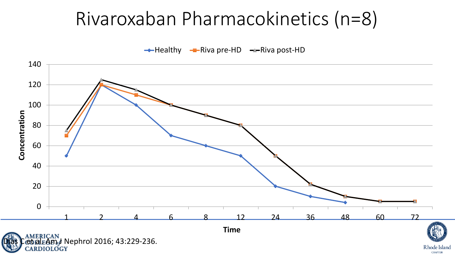### Rivaroxaban Pharmacokinetics (n=8)

 $\rightarrow$  Healthy  $\rightarrow$  Riva pre-HD  $\rightarrow$  Riva post-HD



**CHAPTER**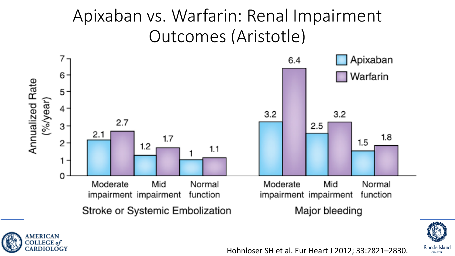#### Apixaban vs. Warfarin: Renal Impairment Outcomes (Aristotle)



**MERICAN** COLLEGE of

CARDIOLOGY



**CHAPTER** 

Hohnloser SH et al. Eur Heart J 2012; 33:2821–2830.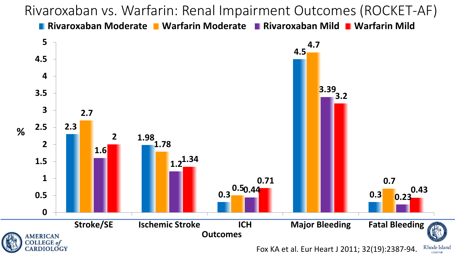Rivaroxaban vs. Warfarin: Renal Impairment Outcomes (ROCKET-AF)

**Rivaroxaban Moderate Warfarin Moderate Rivaroxaban Mild Warfarin Mild**

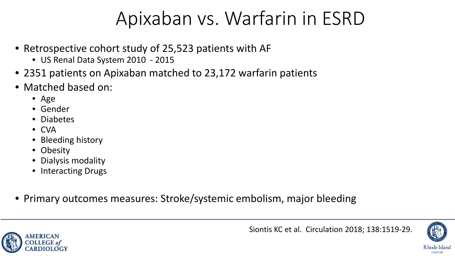### Apixaban vs. Warfarin in ESRD

- Retrospective cohort study of 25,523 patients with AF
	- US Renal Data System 2010 2015
- 2351 patients on Apixaban matched to 23,172 warfarin patients
- Matched based on:
	- Age
	- Gender
	- Diabetes
	- CVA
	- Bleeding history
	- Obesity
	- Dialysis modality
	- Interacting Drugs
- Primary outcomes measures: Stroke/systemic embolism, major bleeding





**CHAPTER**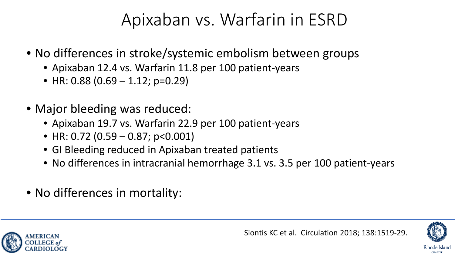#### Apixaban vs. Warfarin in ESRD

- No differences in stroke/systemic embolism between groups
	- Apixaban 12.4 vs. Warfarin 11.8 per 100 patient-years
	- HR: 0.88  $(0.69 1.12; p=0.29)$
- Major bleeding was reduced:
	- Apixaban 19.7 vs. Warfarin 22.9 per 100 patient-years
	- HR: 0.72 (0.59 0.87;  $p < 0.001$ )
	- GI Bleeding reduced in Apixaban treated patients
	- No differences in intracranial hemorrhage 3.1 vs. 3.5 per 100 patient-years
- No differences in mortality:



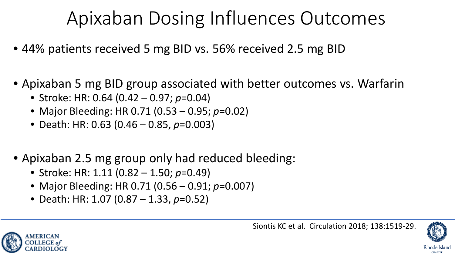# Apixaban Dosing Influences Outcomes

- 44% patients received 5 mg BID vs. 56% received 2.5 mg BID
- Apixaban 5 mg BID group associated with better outcomes vs. Warfarin
	- Stroke: HR: 0.64 (0.42 0.97; *p*=0.04)
	- Major Bleeding: HR 0.71 (0.53 0.95; *p*=0.02)
	- Death: HR: 0.63 (0.46 0.85, *p*=0.003)
- Apixaban 2.5 mg group only had reduced bleeding:
	- Stroke: HR: 1.11 (0.82 1.50; *p*=0.49)
	- Major Bleeding: HR 0.71 (0.56 0.91; *p*=0.007)
	- Death: HR: 1.07 (0.87 1.33, *p*=0.52)



Rhode Island

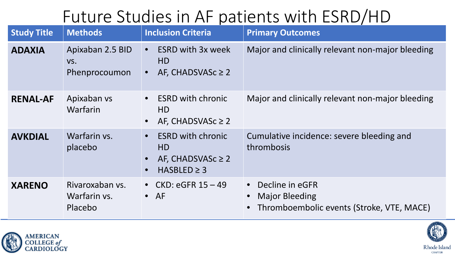#### Future Studies in AF patients with ESRD/HD

| <b>Study Title</b> | <b>Methods</b>                             | <b>Inclusion Criteria</b>                                                                               | <b>Primary Outcomes</b>                                                               |
|--------------------|--------------------------------------------|---------------------------------------------------------------------------------------------------------|---------------------------------------------------------------------------------------|
| <b>ADAXIA</b>      | Apixaban 2.5 BID<br>VS.<br>Phenprocoumon   | <b>ESRD with 3x week</b><br>$\bullet$<br>HD.<br>AF, CHADSVASc $\geq 2$<br>$\bullet$                     | Major and clinically relevant non-major bleeding                                      |
| <b>RENAL-AF</b>    | Apixaban vs<br>Warfarin                    | <b>ESRD with chronic</b><br>$\bullet$<br>HD.<br>AF, CHADSVASc $\geq 2$<br>$\bullet$                     | Major and clinically relevant non-major bleeding                                      |
| <b>AVKDIAL</b>     | Warfarin vs.<br>placebo                    | <b>ESRD with chronic</b><br>$\bullet$<br>HD.<br>AF, CHADSVASc $\geq 2$<br>$HASBLED \geq 3$<br>$\bullet$ | Cumulative incidence: severe bleeding and<br>thrombosis                               |
| <b>XARENO</b>      | Rivaroxaban vs.<br>Warfarin vs.<br>Placebo | • CKD: eGFR $15 - 49$<br>$\bullet$ AF                                                                   | Decline in eGFR<br><b>Major Bleeding</b><br>Thromboembolic events (Stroke, VTE, MACE) |



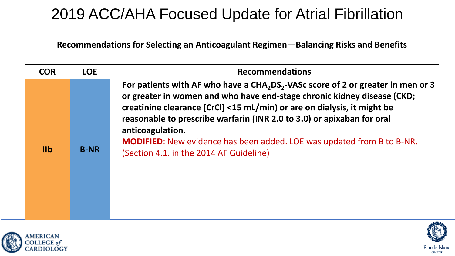#### 2019 ACC/AHA Focused Update for Atrial Fibrillation

| Recommendations for Selecting an Anticoagulant Regimen—Balancing Risks and Benefits |  |
|-------------------------------------------------------------------------------------|--|
|-------------------------------------------------------------------------------------|--|

| For patients with AF who have a $CHA2DS2-VASC score of 2 or greater in men or 3$<br>or greater in women and who have end-stage chronic kidney disease (CKD;<br>creatinine clearance [CrCl] <15 mL/min) or are on dialysis, it might be<br>reasonable to prescribe warfarin (INR 2.0 to 3.0) or apixaban for oral<br>anticoagulation.<br><b>MODIFIED:</b> New evidence has been added. LOE was updated from B to B-NR.<br>I <sub>1</sub><br><b>B-NR</b><br>(Section 4.1. in the 2014 AF Guideline) | <b>COR</b> | <b>LOE</b> | <b>Recommendations</b> |
|---------------------------------------------------------------------------------------------------------------------------------------------------------------------------------------------------------------------------------------------------------------------------------------------------------------------------------------------------------------------------------------------------------------------------------------------------------------------------------------------------|------------|------------|------------------------|
|                                                                                                                                                                                                                                                                                                                                                                                                                                                                                                   |            |            |                        |





**CHAPTER**